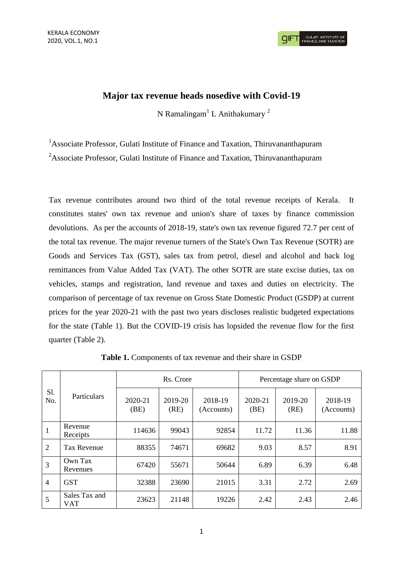## **Major tax revenue heads nosedive with Covid-19**

N Ramalingam $^1$  L Anithakumary<sup>2</sup>

<sup>1</sup>Associate Professor, Gulati Institute of Finance and Taxation, Thiruvananthapuram <sup>2</sup>Associate Professor, Gulati Institute of Finance and Taxation, Thiruvananthapuram

Tax revenue contributes around two third of the total revenue receipts of Kerala. It constitutes states' own tax revenue and union's share of taxes by finance commission devolutions. As per the accounts of 2018-19, state's own tax revenue figured 72.7 per cent of the total tax revenue. The major revenue turners of the State's Own Tax Revenue (SOTR) are Goods and Services Tax (GST), sales tax from petrol, diesel and alcohol and back log remittances from Value Added Tax (VAT). The other SOTR are state excise duties, tax on vehicles, stamps and registration, land revenue and taxes and duties on electricity. The comparison of percentage of tax revenue on Gross State Domestic Product (GSDP) at current prices for the year 2020-21 with the past two years discloses realistic budgeted expectations for the state (Table 1). But the COVID-19 crisis has lopsided the revenue flow for the first quarter (Table 2).

| S1.<br>No.     | Particulars                 | Rs. Crore       |                 |                       | Percentage share on GSDP |                 |                       |
|----------------|-----------------------------|-----------------|-----------------|-----------------------|--------------------------|-----------------|-----------------------|
|                |                             | 2020-21<br>(BE) | 2019-20<br>(RE) | 2018-19<br>(Accounts) | 2020-21<br>(BE)          | 2019-20<br>(RE) | 2018-19<br>(Accounts) |
| 1              | Revenue<br>Receipts         | 114636          | 99043           | 92854                 | 11.72                    | 11.36           | 11.88                 |
| 2              | <b>Tax Revenue</b>          | 88355           | 74671           | 69682                 | 9.03                     | 8.57            | 8.91                  |
| 3              | Own Tax<br>Revenues         | 67420           | 55671           | 50644                 | 6.89                     | 6.39            | 6.48                  |
| $\overline{4}$ | <b>GST</b>                  | 32388           | 23690           | 21015                 | 3.31                     | 2.72            | 2.69                  |
| 5              | Sales Tax and<br><b>VAT</b> | 23623           | 21148           | 19226                 | 2.42                     | 2.43            | 2.46                  |

**Table 1.** Components of tax revenue and their share in GSDP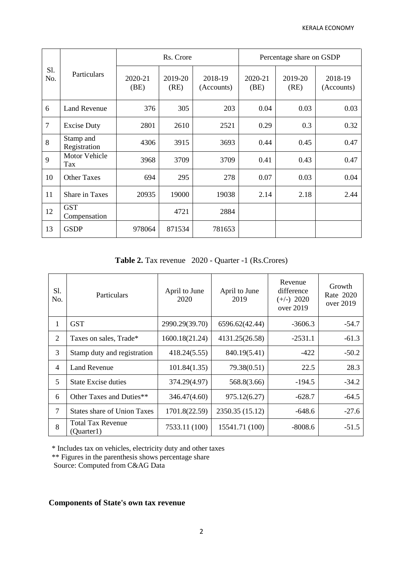| S1.<br>No. | Particulars                 | Rs. Crore       |                 |                       | Percentage share on GSDP |                 |                       |
|------------|-----------------------------|-----------------|-----------------|-----------------------|--------------------------|-----------------|-----------------------|
|            |                             | 2020-21<br>(BE) | 2019-20<br>(RE) | 2018-19<br>(Accounts) | 2020-21<br>(BE)          | 2019-20<br>(RE) | 2018-19<br>(Accounts) |
| 6          | <b>Land Revenue</b>         | 376             | 305             | 203                   | 0.04                     | 0.03            | 0.03                  |
| $\tau$     | <b>Excise Duty</b>          | 2801            | 2610            | 2521                  | 0.29                     | 0.3             | 0.32                  |
| 8          | Stamp and<br>Registration   | 4306            | 3915            | 3693                  | 0.44                     | 0.45            | 0.47                  |
| 9          | <b>Motor Vehicle</b><br>Tax | 3968            | 3709            | 3709                  | 0.41                     | 0.43            | 0.47                  |
| 10         | <b>Other Taxes</b>          | 694             | 295             | 278                   | 0.07                     | 0.03            | 0.04                  |
| 11         | Share in Taxes              | 20935           | 19000           | 19038                 | 2.14                     | 2.18            | 2.44                  |
| 12         | <b>GST</b><br>Compensation  |                 | 4721            | 2884                  |                          |                 |                       |
| 13         | <b>GSDP</b>                 | 978064          | 871534          | 781653                |                          |                 |                       |

**Table 2.** Tax revenue 2020 - Quarter -1 (Rs.Crores)

| S1.<br>No.     | Particulars                            | April to June<br>2020 | April to June<br>2019 | Revenue<br>difference<br>$(+/-)$ 2020<br>over 2019 | Growth<br>Rate 2020<br>over 2019 |
|----------------|----------------------------------------|-----------------------|-----------------------|----------------------------------------------------|----------------------------------|
| 1              | <b>GST</b>                             | 2990.29(39.70)        | 6596.62(42.44)        | $-3606.3$                                          | $-54.7$                          |
| $\overline{2}$ | Taxes on sales, Trade*                 | 1600.18(21.24)        | 4131.25(26.58)        | $-2531.1$                                          | $-61.3$                          |
| 3              | Stamp duty and registration            | 418.24(5.55)          | 840.19(5.41)          | $-422$                                             | $-50.2$                          |
| 4              | <b>Land Revenue</b>                    | 101.84(1.35)          | 79.38(0.51)           | 22.5                                               | 28.3                             |
| 5              | <b>State Excise duties</b>             | 374.29(4.97)          | 568.8(3.66)           | $-194.5$                                           | $-34.2$                          |
| 6              | Other Taxes and Duties**               | 346.47(4.60)          | 975.12(6.27)          | $-628.7$                                           | $-64.5$                          |
| 7              | <b>States share of Union Taxes</b>     | 1701.8(22.59)         | 2350.35 (15.12)       | $-648.6$                                           | $-27.6$                          |
| 8              | <b>Total Tax Revenue</b><br>(Quarter1) | 7533.11 (100)         | 15541.71 (100)        | $-8008.6$                                          | $-51.5$                          |

\* Includes tax on vehicles, electricity duty and other taxes

\*\* Figures in the parenthesis shows percentage share

Source: Computed from C&AG Data

# **Components of State's own tax revenue**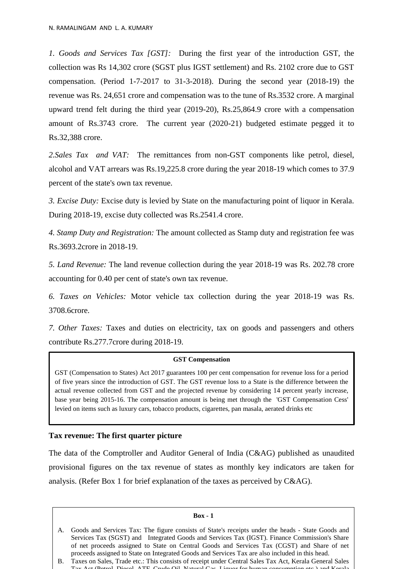*1. Goods and Services Tax [GST]:* During the first year of the introduction GST, the collection was Rs 14,302 crore (SGST plus IGST settlement) and Rs. 2102 crore due to GST compensation. (Period 1-7-2017 to 31-3-2018). During the second year (2018-19) the revenue was Rs. 24,651 crore and compensation was to the tune of Rs.3532 crore. A marginal upward trend felt during the third year (2019-20), Rs.25,864.9 crore with a compensation amount of Rs.3743 crore. The current year (2020-21) budgeted estimate pegged it to Rs.32,388 crore.

*2.Sales Tax and VAT:* The remittances from non-GST components like petrol, diesel, alcohol and VAT arrears was Rs.19,225.8 crore during the year 2018-19 which comes to 37.9 percent of the state's own tax revenue.

*3. Excise Duty:* Excise duty is levied by State on the manufacturing point of liquor in Kerala. During 2018-19, excise duty collected was Rs.2541.4 crore.

*4. Stamp Duty and Registration:* The amount collected as Stamp duty and registration fee was Rs.3693.2crore in 2018-19.

*5. Land Revenue:* The land revenue collection during the year 2018-19 was Rs. 202.78 crore accounting for 0.40 per cent of state's own tax revenue.

*6. Taxes on Vehicles:* Motor vehicle tax collection during the year 2018-19 was Rs. 3708.6crore.

*7. Other Taxes:* Taxes and duties on electricity, tax on goods and passengers and others contribute Rs.277.7crore during 2018-19.

#### **GST Compensation**

GST (Compensation to States) Act 2017 guarantees 100 per cent compensation for revenue loss for a period of five years since the introduction of GST. The GST revenue loss to a State is the difference between the actual revenue collected from GST and the projected revenue by considering 14 percent yearly increase, base year being 2015-16. The compensation amount is being met through the 'GST Compensation Cess' levied on items such as luxury cars, tobacco products, cigarettes, pan masala, aerated drinks etc

### **Tax revenue: The first quarter picture**

The data of the Comptroller and Auditor General of India (C&AG) published as unaudited provisional figures on the tax revenue of states as monthly key indicators are taken for analysis. (Refer Box 1 for brief explanation of the taxes as perceived by C&AG).

#### **Box - 1**

A. Goods and Services Tax: The figure consists of State's receipts under the heads - State Goods and Services Tax (SGST) and Integrated Goods and Services Tax (IGST). Finance Commission's Share of net proceeds assigned to State on Central Goods and Services Tax (CGST) and Share of net proceeds assigned to State on Integrated Goods and Services Tax are also included in this head.

B. Taxes on Sales, Trade etc.: This consists of receipt under Central Sales Tax Act, Kerala General Sales Tax Act (Petrol, Diesel, ATF, Crude Oil, Natural Gas, Liquor for human consumption etc.) and Kerala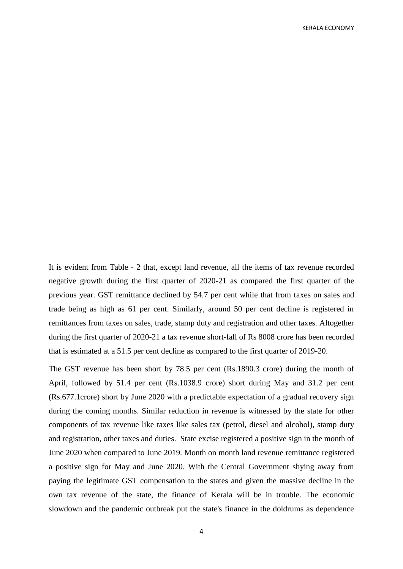It is evident from Table - 2 that, except land revenue, all the items of tax revenue recorded negative growth during the first quarter of 2020-21 as compared the first quarter of the previous year. GST remittance declined by 54.7 per cent while that from taxes on sales and trade being as high as 61 per cent. Similarly, around 50 per cent decline is registered in remittances from taxes on sales, trade, stamp duty and registration and other taxes. Altogether during the first quarter of 2020-21 a tax revenue short-fall of Rs 8008 crore has been recorded that is estimated at a 51.5 per cent decline as compared to the first quarter of 2019-20.

The GST revenue has been short by 78.5 per cent (Rs.1890.3 crore) during the month of April, followed by 51.4 per cent (Rs.1038.9 crore) short during May and 31.2 per cent (Rs.677.1crore) short by June 2020 with a predictable expectation of a gradual recovery sign during the coming months. Similar reduction in revenue is witnessed by the state for other components of tax revenue like taxes like sales tax (petrol, diesel and alcohol), stamp duty and registration, other taxes and duties. State excise registered a positive sign in the month of June 2020 when compared to June 2019. Month on month land revenue remittance registered a positive sign for May and June 2020. With the Central Government shying away from paying the legitimate GST compensation to the states and given the massive decline in the own tax revenue of the state, the finance of Kerala will be in trouble. The economic slowdown and the pandemic outbreak put the state's finance in the doldrums as dependence